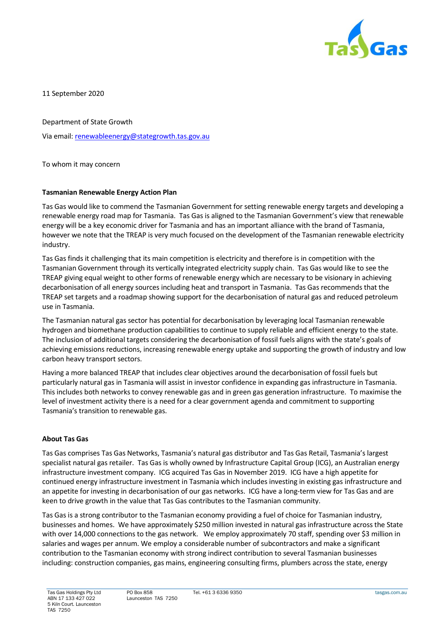

11 September 2020

Department of State Growth

Via email[: renewableenergy@stategrowth.tas.gov.au](mailto:renewableenergy@stategrowth.tas.gov.au)

To whom it may concern

# **Tasmanian Renewable Energy Action Plan**

Tas Gas would like to commend the Tasmanian Government for setting renewable energy targets and developing a renewable energy road map for Tasmania. Tas Gas is aligned to the Tasmanian Government's view that renewable energy will be a key economic driver for Tasmania and has an important alliance with the brand of Tasmania, however we note that the TREAP is very much focused on the development of the Tasmanian renewable electricity industry.

Tas Gas finds it challenging that its main competition is electricity and therefore is in competition with the Tasmanian Government through its vertically integrated electricity supply chain. Tas Gas would like to see the TREAP giving equal weight to other forms of renewable energy which are necessary to be visionary in achieving decarbonisation of all energy sources including heat and transport in Tasmania. Tas Gas recommends that the TREAP set targets and a roadmap showing support for the decarbonisation of natural gas and reduced petroleum use in Tasmania.

The Tasmanian natural gas sector has potential for decarbonisation by leveraging local Tasmanian renewable hydrogen and biomethane production capabilities to continue to supply reliable and efficient energy to the state. The inclusion of additional targets considering the decarbonisation of fossil fuels aligns with the state's goals of achieving emissions reductions, increasing renewable energy uptake and supporting the growth of industry and low carbon heavy transport sectors.

Having a more balanced TREAP that includes clear objectives around the decarbonisation of fossil fuels but particularly natural gas in Tasmania will assist in investor confidence in expanding gas infrastructure in Tasmania. This includes both networks to convey renewable gas and in green gas generation infrastructure. To maximise the level of investment activity there is a need for a clear government agenda and commitment to supporting Tasmania's transition to renewable gas.

## **About Tas Gas**

Tas Gas comprises Tas Gas Networks, Tasmania's natural gas distributor and Tas Gas Retail, Tasmania's largest specialist natural gas retailer. Tas Gas is wholly owned by Infrastructure Capital Group (ICG), an Australian energy infrastructure investment company. ICG acquired Tas Gas in November 2019. ICG have a high appetite for continued energy infrastructure investment in Tasmania which includes investing in existing gas infrastructure and an appetite for investing in decarbonisation of our gas networks. ICG have a long-term view for Tas Gas and are keen to drive growth in the value that Tas Gas contributes to the Tasmanian community.

Tas Gas is a strong contributor to the Tasmanian economy providing a fuel of choice for Tasmanian industry, businesses and homes. We have approximately \$250 million invested in natural gas infrastructure across the State with over 14,000 connections to the gas network. We employ approximately 70 staff, spending over \$3 million in salaries and wages per annum. We employ a considerable number of subcontractors and make a significant contribution to the Tasmanian economy with strong indirect contribution to several Tasmanian businesses including: construction companies, gas mains, engineering consulting firms, plumbers across the state, energy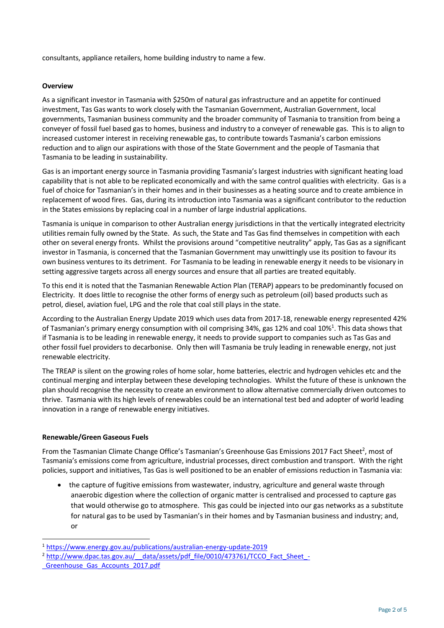consultants, appliance retailers, home building industry to name a few.

### **Overview**

As a significant investor in Tasmania with \$250m of natural gas infrastructure and an appetite for continued investment, Tas Gas wants to work closely with the Tasmanian Government, Australian Government, local governments, Tasmanian business community and the broader community of Tasmania to transition from being a conveyer of fossil fuel based gas to homes, business and industry to a conveyer of renewable gas. This is to align to increased customer interest in receiving renewable gas, to contribute towards Tasmania's carbon emissions reduction and to align our aspirations with those of the State Government and the people of Tasmania that Tasmania to be leading in sustainability.

Gas is an important energy source in Tasmania providing Tasmania's largest industries with significant heating load capability that is not able to be replicated economically and with the same control qualities with electricity. Gas is a fuel of choice for Tasmanian's in their homes and in their businesses as a heating source and to create ambience in replacement of wood fires. Gas, during its introduction into Tasmania was a significant contributor to the reduction in the States emissions by replacing coal in a number of large industrial applications.

Tasmania is unique in comparison to other Australian energy jurisdictions in that the vertically integrated electricity utilities remain fully owned by the State. As such, the State and Tas Gas find themselves in competition with each other on several energy fronts. Whilst the provisions around "competitive neutrality" apply, Tas Gas as a significant investor in Tasmania, is concerned that the Tasmanian Government may unwittingly use its position to favour its own business ventures to its detriment. For Tasmania to be leading in renewable energy it needs to be visionary in setting aggressive targets across all energy sources and ensure that all parties are treated equitably.

To this end it is noted that the Tasmanian Renewable Action Plan (TERAP) appears to be predominantly focused on Electricity. It does little to recognise the other forms of energy such as petroleum (oil) based products such as petrol, diesel, aviation fuel, LPG and the role that coal still plays in the state.

According to the Australian Energy Update 2019 which uses data from 2017-18, renewable energy represented 42% of Tasmanian's primary energy consumption with oil comprising 34%, gas 12% and coal 10%<sup>1</sup>. This data shows that if Tasmania is to be leading in renewable energy, it needs to provide support to companies such as Tas Gas and other fossil fuel providers to decarbonise. Only then will Tasmania be truly leading in renewable energy, not just renewable electricity.

The TREAP is silent on the growing roles of home solar, home batteries, electric and hydrogen vehicles etc and the continual merging and interplay between these developing technologies. Whilst the future of these is unknown the plan should recognise the necessity to create an environment to allow alternative commercially driven outcomes to thrive. Tasmania with its high levels of renewables could be an international test bed and adopter of world leading innovation in a range of renewable energy initiatives.

## **Renewable/Green Gaseous Fuels**

From the Tasmanian Climate Change Office's Tasmanian's Greenhouse Gas Emissions 2017 Fact Sheet<sup>2</sup>, most of Tasmania's emissions come from agriculture, industrial processes, direct combustion and transport. With the right policies, support and initiatives, Tas Gas is well positioned to be an enabler of emissions reduction in Tasmania via:

the capture of fugitive emissions from wastewater, industry, agriculture and general waste through anaerobic digestion where the collection of organic matter is centralised and processed to capture gas that would otherwise go to atmosphere. This gas could be injected into our gas networks as a substitute for natural gas to be used by Tasmanian's in their homes and by Tasmanian business and industry; and, or

<sup>1</sup> <https://www.energy.gov.au/publications/australian-energy-update-2019>

<sup>&</sup>lt;sup>2</sup> http://www.dpac.tas.gov.au/ data/assets/pdf file/0010/473761/TCCO\_Fact\_Sheet\_-

Greenhouse Gas Accounts 2017.pdf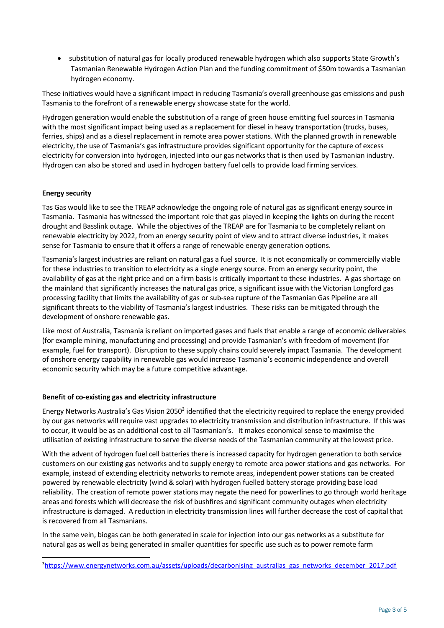• substitution of natural gas for locally produced renewable hydrogen which also supports State Growth's Tasmanian Renewable Hydrogen Action Plan and the funding commitment of \$50m towards a Tasmanian hydrogen economy.

These initiatives would have a significant impact in reducing Tasmania's overall greenhouse gas emissions and push Tasmania to the forefront of a renewable energy showcase state for the world.

Hydrogen generation would enable the substitution of a range of green house emitting fuel sources in Tasmania with the most significant impact being used as a replacement for diesel in heavy transportation (trucks, buses, ferries, ships) and as a diesel replacement in remote area power stations. With the planned growth in renewable electricity, the use of Tasmania's gas infrastructure provides significant opportunity for the capture of excess electricity for conversion into hydrogen, injected into our gas networks that is then used by Tasmanian industry. Hydrogen can also be stored and used in hydrogen battery fuel cells to provide load firming services.

## **Energy security**

Tas Gas would like to see the TREAP acknowledge the ongoing role of natural gas as significant energy source in Tasmania. Tasmania has witnessed the important role that gas played in keeping the lights on during the recent drought and Basslink outage. While the objectives of the TREAP are for Tasmania to be completely reliant on renewable electricity by 2022, from an energy security point of view and to attract diverse industries, it makes sense for Tasmania to ensure that it offers a range of renewable energy generation options.

Tasmania's largest industries are reliant on natural gas a fuel source. It is not economically or commercially viable for these industries to transition to electricity as a single energy source. From an energy security point, the availability of gas at the right price and on a firm basis is critically important to these industries. A gas shortage on the mainland that significantly increases the natural gas price, a significant issue with the Victorian Longford gas processing facility that limits the availability of gas or sub-sea rupture of the Tasmanian Gas Pipeline are all significant threats to the viability of Tasmania's largest industries. These risks can be mitigated through the development of onshore renewable gas.

Like most of Australia, Tasmania is reliant on imported gases and fuels that enable a range of economic deliverables (for example mining, manufacturing and processing) and provide Tasmanian's with freedom of movement (for example, fuel for transport). Disruption to these supply chains could severely impact Tasmania. The development of onshore energy capability in renewable gas would increase Tasmania's economic independence and overall economic security which may be a future competitive advantage.

## **Benefit of co-existing gas and electricity infrastructure**

Energy Networks Australia's Gas Vision 2050<sup>3</sup> identified that the electricity required to replace the energy provided by our gas networks will require vast upgrades to electricity transmission and distribution infrastructure. If this was to occur, it would be as an additional cost to all Tasmanian's. It makes economical sense to maximise the utilisation of existing infrastructure to serve the diverse needs of the Tasmanian community at the lowest price.

With the advent of hydrogen fuel cell batteries there is increased capacity for hydrogen generation to both service customers on our existing gas networks and to supply energy to remote area power stations and gas networks. For example, instead of extending electricity networks to remote areas, independent power stations can be created powered by renewable electricity (wind & solar) with hydrogen fuelled battery storage providing base load reliability. The creation of remote power stations may negate the need for powerlines to go through world heritage areas and forests which will decrease the risk of bushfires and significant community outages when electricity infrastructure is damaged. A reduction in electricity transmission lines will further decrease the cost of capital that is recovered from all Tasmanians.

In the same vein, biogas can be both generated in scale for injection into our gas networks as a substitute for natural gas as well as being generated in smaller quantities for specific use such as to power remote farm

<sup>3</sup>[https://www.energynetworks.com.au/assets/uploads/decarbonising\\_australias\\_gas\\_networks\\_december\\_2017.pdf](https://www.energynetworks.com.au/assets/uploads/decarbonising_australias_gas_networks_december_2017.pdf)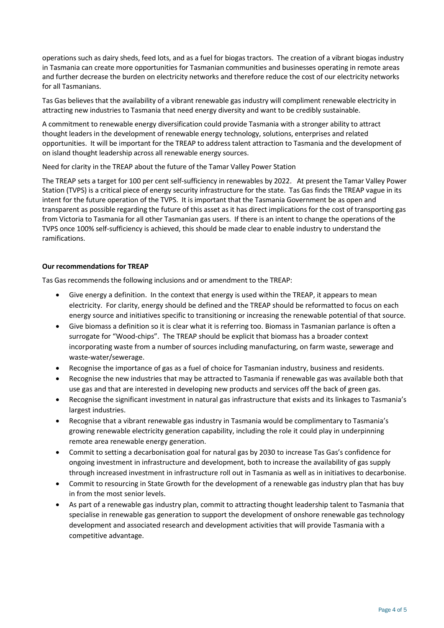operations such as dairy sheds, feed lots, and as a fuel for biogas tractors. The creation of a vibrant biogas industry in Tasmania can create more opportunities for Tasmanian communities and businesses operating in remote areas and further decrease the burden on electricity networks and therefore reduce the cost of our electricity networks for all Tasmanians.

Tas Gas believes that the availability of a vibrant renewable gas industry will compliment renewable electricity in attracting new industries to Tasmania that need energy diversity and want to be credibly sustainable.

A commitment to renewable energy diversification could provide Tasmania with a stronger ability to attract thought leaders in the development of renewable energy technology, solutions, enterprises and related opportunities. It will be important for the TREAP to address talent attraction to Tasmania and the development of on island thought leadership across all renewable energy sources.

Need for clarity in the TREAP about the future of the Tamar Valley Power Station

The TREAP sets a target for 100 per cent self-sufficiency in renewables by 2022. At present the Tamar Valley Power Station (TVPS) is a critical piece of energy security infrastructure for the state. Tas Gas finds the TREAP vague in its intent for the future operation of the TVPS. It is important that the Tasmania Government be as open and transparent as possible regarding the future of this asset as it has direct implications for the cost of transporting gas from Victoria to Tasmania for all other Tasmanian gas users. If there is an intent to change the operations of the TVPS once 100% self-sufficiency is achieved, this should be made clear to enable industry to understand the ramifications.

### **Our recommendations for TREAP**

Tas Gas recommends the following inclusions and or amendment to the TREAP:

- Give energy a definition. In the context that energy is used within the TREAP, it appears to mean electricity. For clarity, energy should be defined and the TREAP should be reformatted to focus on each energy source and initiatives specific to transitioning or increasing the renewable potential of that source.
- Give biomass a definition so it is clear what it is referring too. Biomass in Tasmanian parlance is often a surrogate for "Wood-chips". The TREAP should be explicit that biomass has a broader context incorporating waste from a number of sources including manufacturing, on farm waste, sewerage and waste-water/sewerage.
- Recognise the importance of gas as a fuel of choice for Tasmanian industry, business and residents.
- Recognise the new industries that may be attracted to Tasmania if renewable gas was available both that use gas and that are interested in developing new products and services off the back of green gas.
- Recognise the significant investment in natural gas infrastructure that exists and its linkages to Tasmania's largest industries.
- Recognise that a vibrant renewable gas industry in Tasmania would be complimentary to Tasmania's growing renewable electricity generation capability, including the role it could play in underpinning remote area renewable energy generation.
- Commit to setting a decarbonisation goal for natural gas by 2030 to increase Tas Gas's confidence for ongoing investment in infrastructure and development, both to increase the availability of gas supply through increased investment in infrastructure roll out in Tasmania as well as in initiatives to decarbonise.
- Commit to resourcing in State Growth for the development of a renewable gas industry plan that has buy in from the most senior levels.
- As part of a renewable gas industry plan, commit to attracting thought leadership talent to Tasmania that specialise in renewable gas generation to support the development of onshore renewable gas technology development and associated research and development activities that will provide Tasmania with a competitive advantage.